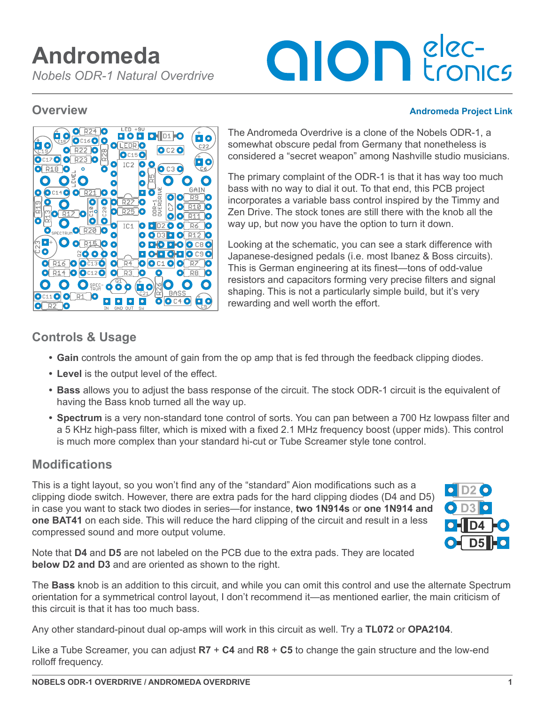# **alon** elec-

#### **Overview [Andromeda Project Link](https://aionelectronics.com/product/andromeda-nobels-odr-1-overdrive/)**



The Andromeda Overdrive is a clone of the Nobels ODR-1, a somewhat obscure pedal from Germany that nonetheless is considered a "secret weapon" among Nashville studio musicians.

The primary complaint of the ODR-1 is that it has way too much bass with no way to dial it out. To that end, this PCB project incorporates a variable bass control inspired by the Timmy and Zen Drive. The stock tones are still there with the knob all the way up, but now you have the option to turn it down.

Looking at the schematic, you can see a stark difference with Japanese-designed pedals (i.e. most Ibanez & Boss circuits). This is German engineering at its finest—tons of odd-value resistors and capacitors forming very precise filters and signal shaping. This is not a particularly simple build, but it's very rewarding and well worth the effort.

# **Controls & Usage**

- **• Gain** controls the amount of gain from the op amp that is fed through the feedback clipping diodes.
- **• Level** is the output level of the effect.
- **• Bass** allows you to adjust the bass response of the circuit. The stock ODR-1 circuit is the equivalent of having the Bass knob turned all the way up.
- **• Spectrum** is a very non-standard tone control of sorts. You can pan between a 700 Hz lowpass filter and a 5 KHz high-pass filter, which is mixed with a fixed 2.1 MHz frequency boost (upper mids). This control is much more complex than your standard hi-cut or Tube Screamer style tone control.

# **Modifications**

This is a tight layout, so you won't find any of the "standard" Aion modifications such as a clipping diode switch. However, there are extra pads for the hard clipping diodes (D4 and D5) in case you want to stack two diodes in series—for instance, **two 1N914s** or **one 1N914 and one BAT41** on each side. This will reduce the hard clipping of the circuit and result in a less compressed sound and more output volume.



Note that **D4** and **D5** are not labeled on the PCB due to the extra pads. They are located **below D2 and D3** and are oriented as shown to the right.

The **Bass** knob is an addition to this circuit, and while you can omit this control and use the alternate Spectrum orientation for a symmetrical control layout, I don't recommend it—as mentioned earlier, the main criticism of this circuit is that it has too much bass.

Any other standard-pinout dual op-amps will work in this circuit as well. Try a **TL072** or **OPA2104**.

Like a Tube Screamer, you can adjust **R7** + **C4** and **R8** + **C5** to change the gain structure and the low-end rolloff frequency.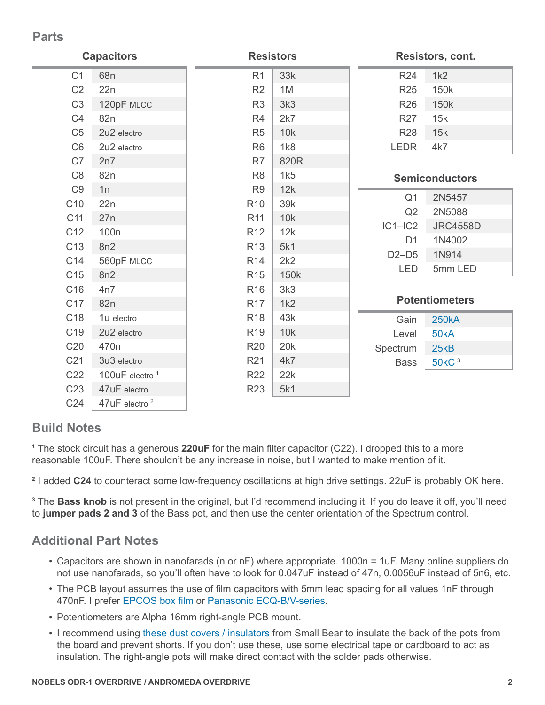### **Parts**

| <b>Capacitors</b> |                            | <b>Resistors</b> |      | Resistors, cont. |                       |  |
|-------------------|----------------------------|------------------|------|------------------|-----------------------|--|
| C <sub>1</sub>    | 68 <sub>n</sub>            | R <sub>1</sub>   | 33k  | R <sub>24</sub>  | 1k2                   |  |
| C <sub>2</sub>    | 22n                        | R2               | 1M   | <b>R25</b>       | 150k                  |  |
| C <sub>3</sub>    | 120pF MLCC                 | R <sub>3</sub>   | 3k3  | <b>R26</b>       | 150k                  |  |
| C <sub>4</sub>    | 82n                        | R <sub>4</sub>   | 2k7  | <b>R27</b>       | 15k                   |  |
| C <sub>5</sub>    | 2u2 electro                | R <sub>5</sub>   | 10k  | <b>R28</b>       | 15k                   |  |
| C <sub>6</sub>    | 2u2 electro                | R <sub>6</sub>   | 1k8  | <b>LEDR</b>      | 4k7                   |  |
| C7                | 2n7                        | R7               | 820R |                  |                       |  |
| C <sub>8</sub>    | 82n                        | R <sub>8</sub>   | 1k5  |                  | <b>Semiconductors</b> |  |
| C <sub>9</sub>    | 1n                         | R <sub>9</sub>   | 12k  |                  |                       |  |
| C <sub>10</sub>   | 22n                        | R <sub>10</sub>  | 39k  | Q <sub>1</sub>   | 2N5457                |  |
| C11               | 27n                        | R <sub>11</sub>  | 10k  | Q2               | 2N5088                |  |
| C <sub>12</sub>   | 100 <sub>n</sub>           | R <sub>12</sub>  | 12k  | $IC1-IC2$        | <b>JRC4558D</b>       |  |
| C <sub>13</sub>   | 8n2                        | R <sub>13</sub>  | 5k1  | D <sub>1</sub>   | 1N4002                |  |
| C14               | 560pF MLCC                 | R <sub>14</sub>  | 2k2  | $D2-D5$          | 1N914                 |  |
| C <sub>15</sub>   | 8n2                        | R <sub>15</sub>  | 150k | <b>LED</b>       | 5mm LED               |  |
| C <sub>16</sub>   | 4n7                        | R <sub>16</sub>  | 3k3  |                  |                       |  |
| C <sub>17</sub>   | 82n                        | <b>R17</b>       | 1k2  |                  | <b>Potentiometers</b> |  |
| C <sub>18</sub>   | 1u electro                 | R <sub>18</sub>  | 43k  | Gain             | <b>250kA</b>          |  |
| C <sub>19</sub>   | 2u2 electro                | R <sub>19</sub>  | 10k  | Level            | 50kA                  |  |
| C20               | 470 <sub>n</sub>           | <b>R20</b>       | 20k  | Spectrum         | 25kB                  |  |
| C <sub>21</sub>   | 3u3 electro                | R <sub>21</sub>  | 4k7  | <b>Bass</b>      | 50kC <sup>3</sup>     |  |
| C <sub>22</sub>   | 100uF electro <sup>1</sup> | <b>R22</b>       | 22k  |                  |                       |  |
| C <sub>23</sub>   | 47uF electro               | R <sub>23</sub>  | 5k1  |                  |                       |  |
| C <sub>24</sub>   | 47uF electro <sup>2</sup>  |                  |      |                  |                       |  |

# **Build Notes**

**1** The stock circuit has a generous **220uF** for the main filter capacitor (C22). I dropped this to a more reasonable 100uF. There shouldn't be any increase in noise, but I wanted to make mention of it.

**2** I added **C24** to counteract some low-frequency oscillations at high drive settings. 22uF is probably OK here.

**3** The **Bass knob** is not present in the original, but I'd recommend including it. If you do leave it off, you'll need to **jumper pads 2 and 3** of the Bass pot, and then use the center orientation of the Spectrum control.

### **Additional Part Notes**

- Capacitors are shown in nanofarads (n or nF) where appropriate. 1000n = 1uF. Many online suppliers do not use nanofarads, so you'll often have to look for 0.047uF instead of 47n, 0.0056uF instead of 5n6, etc.
- The PCB layout assumes the use of film capacitors with 5mm lead spacing for all values 1nF through 470nF. I prefer [EPCOS box film](https://aionelectronics.com/link/epcos-box-film/) or [Panasonic ECQ-B/V-series](https://aionelectronics.com/link/panasonic-film/).
- Potentiometers are Alpha 16mm right-angle PCB mount.
- I recommend using [these dust covers / insulators](https://aionelectronics.com/link/16mm-dust-covers/) from Small Bear to insulate the back of the pots from the board and prevent shorts. If you don't use these, use some electrical tape or cardboard to act as insulation. The right-angle pots will make direct contact with the solder pads otherwise.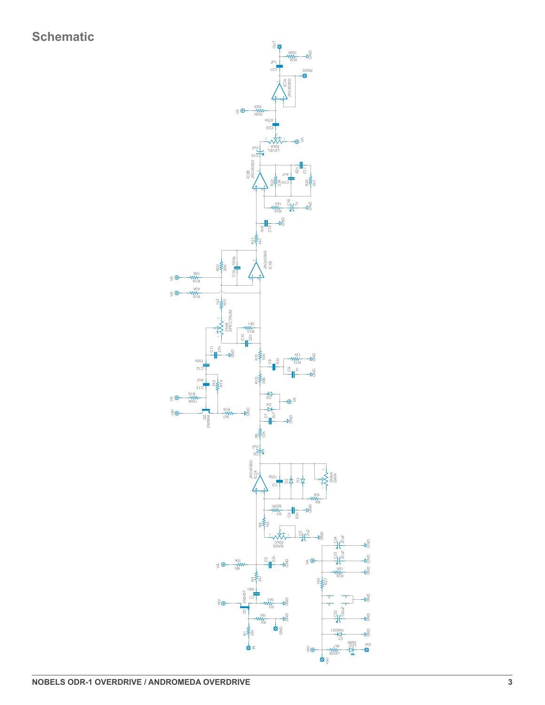

S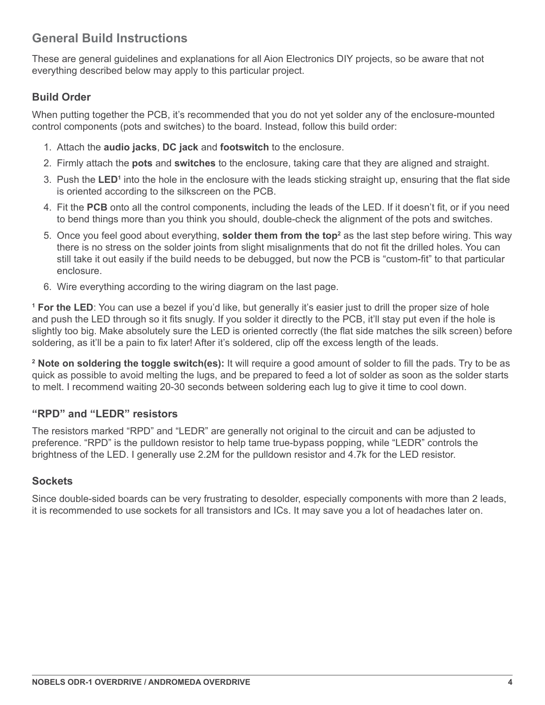# **General Build Instructions**

These are general guidelines and explanations for all Aion Electronics DIY projects, so be aware that not everything described below may apply to this particular project.

#### **Build Order**

When putting together the PCB, it's recommended that you do not yet solder any of the enclosure-mounted control components (pots and switches) to the board. Instead, follow this build order:

- 1. Attach the **audio jacks**, **DC jack** and **footswitch** to the enclosure.
- 2. Firmly attach the **pots** and **switches** to the enclosure, taking care that they are aligned and straight.
- 3. Push the LED<sup>1</sup> into the hole in the enclosure with the leads sticking straight up, ensuring that the flat side is oriented according to the silkscreen on the PCB.
- 4. Fit the **PCB** onto all the control components, including the leads of the LED. If it doesn't fit, or if you need to bend things more than you think you should, double-check the alignment of the pots and switches.
- 5. Once you feel good about everything, **solder them from the top**<sup>2</sup> as the last step before wiring. This way there is no stress on the solder joints from slight misalignments that do not fit the drilled holes. You can still take it out easily if the build needs to be debugged, but now the PCB is "custom-fit" to that particular enclosure.
- 6. Wire everything according to the wiring diagram on the last page.

**1 For the LED**: You can use a bezel if you'd like, but generally it's easier just to drill the proper size of hole and push the LED through so it fits snugly. If you solder it directly to the PCB, it'll stay put even if the hole is slightly too big. Make absolutely sure the LED is oriented correctly (the flat side matches the silk screen) before soldering, as it'll be a pain to fix later! After it's soldered, clip off the excess length of the leads.

**2 Note on soldering the toggle switch(es):** It will require a good amount of solder to fill the pads. Try to be as quick as possible to avoid melting the lugs, and be prepared to feed a lot of solder as soon as the solder starts to melt. I recommend waiting 20-30 seconds between soldering each lug to give it time to cool down.

#### **"RPD" and "LEDR" resistors**

The resistors marked "RPD" and "LEDR" are generally not original to the circuit and can be adjusted to preference. "RPD" is the pulldown resistor to help tame true-bypass popping, while "LEDR" controls the brightness of the LED. I generally use 2.2M for the pulldown resistor and 4.7k for the LED resistor.

#### **Sockets**

Since double-sided boards can be very frustrating to desolder, especially components with more than 2 leads, it is recommended to use sockets for all transistors and ICs. It may save you a lot of headaches later on.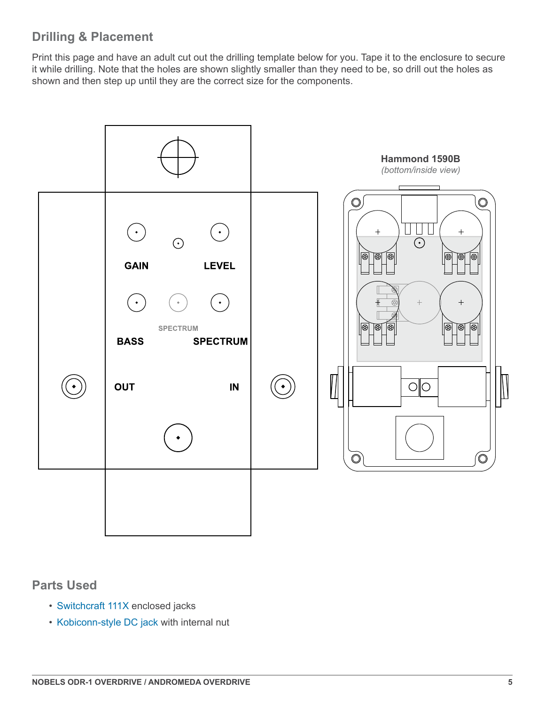# **Drilling & Placement**

Print this page and have an adult cut out the drilling template below for you. Tape it to the enclosure to secure it while drilling. Note that the holes are shown slightly smaller than they need to be, so drill out the holes as shown and then step up until they are the correct size for the components.



#### **Parts Used**

- [Switchcraft 111X](https://aionelectronics.com/link/switchcraft-111/) enclosed jacks
- [Kobiconn-style DC jack](https://aionelectronics.com/link/dc-jack/) with internal nut